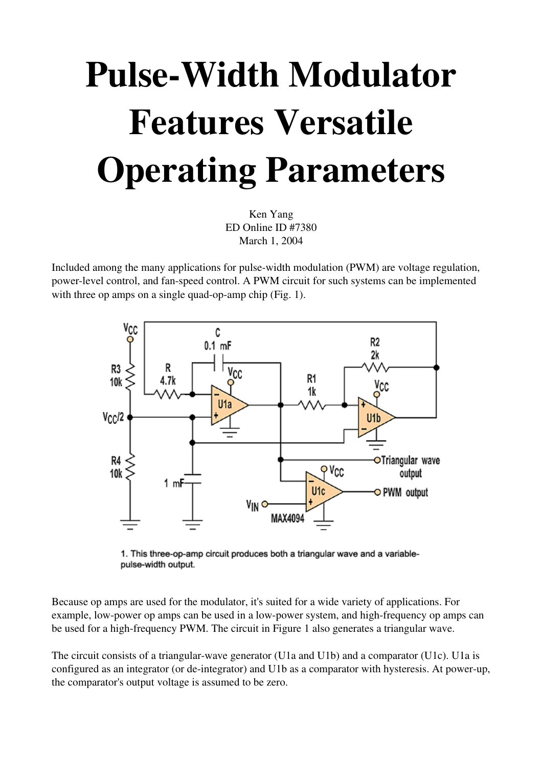## Pulse-Width Modulator Features Versatile Operating Parameters

Ken Yang ED Online ID #7380 March 1, 2004

Included among the many applications for pulsewidth modulation (PWM) are voltage regulation, power-level control, and fan-speed control. A PWM circuit for such systems can be implemented with three op amps on a single quad-op-amp chip  $(Fig. 1)$ .



1. This three-op-amp circuit produces both a triangular wave and a variablepulse-width output.

Because op amps are used for the modulator, it's suited for a wide variety of applications. For example, low-power op amps can be used in a low-power system, and high-frequency op amps can be used for a high-frequency PWM. The circuit in Figure 1 also generates a triangular wave.

The circuit consists of a triangular-wave generator (U1a and U1b) and a comparator (U1c). U1a is configured as an integrator (or de-integrator) and U1b as a comparator with hysteresis. At power-up, the comparator's output voltage is assumed to be zero.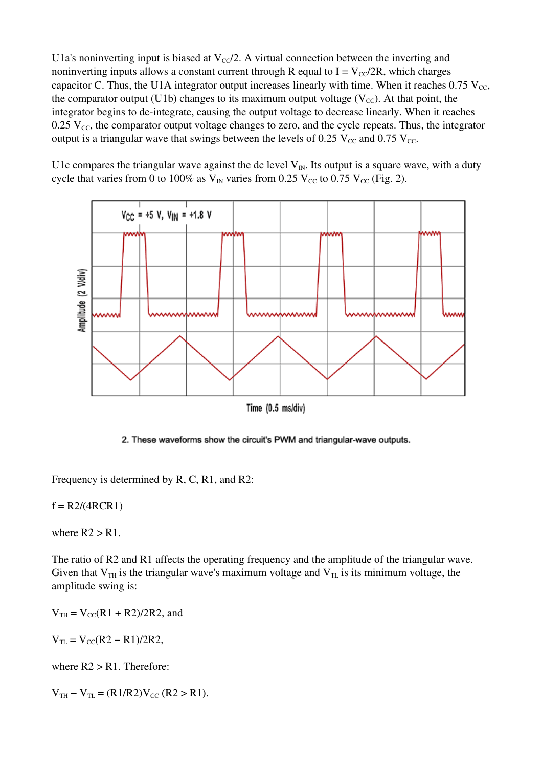U1a's noninverting input is biased at  $V_{\rm CC}/2$ . A virtual connection between the inverting and noninverting inputs allows a constant current through R equal to  $I = V_{CC}/2R$ , which charges capacitor C. Thus, the U1A integrator output increases linearly with time. When it reaches  $0.75$  V<sub>cc</sub>, the comparator output (U1b) changes to its maximum output voltage ( $V_{CC}$ ). At that point, the integrator begins to de-integrate, causing the output voltage to decrease linearly. When it reaches  $0.25$  V<sub>cc</sub>, the comparator output voltage changes to zero, and the cycle repeats. Thus, the integrator output is a triangular wave that swings between the levels of 0.25  $V_{\text{cc}}$  and 0.75  $V_{\text{cc}}$ .

U1c compares the triangular wave against the dc level  $V_{IN}$ . Its output is a square wave, with a duty cycle that varies from 0 to 100% as  $V_{IN}$  varies from 0.25  $V_{CC}$  to 0.75  $V_{CC}$  (Fig. 2).



Time (0.5 ms/div)

2. These waveforms show the circuit's PWM and triangular-wave outputs.

Frequency is determined by R, C, R1, and R2:

 $f = R2/(4RCR1)$ 

where  $R2 > R1$ .

The ratio of R2 and R1 affects the operating frequency and the amplitude of the triangular wave. Given that  $V_{TH}$  is the triangular wave's maximum voltage and  $V_{TL}$  is its minimum voltage, the amplitude swing is:

 $V_{TH} = V_{CC}(R1 + R2)/2R2$ , and

 $V_{TL} = V_{CC}(R2 - R1)/2R2$ ,

where  $R2 > R1$ . Therefore:

 $V_{TH} - V_{TL} = (R1/R2)V_{CC}$  (R2 > R1).